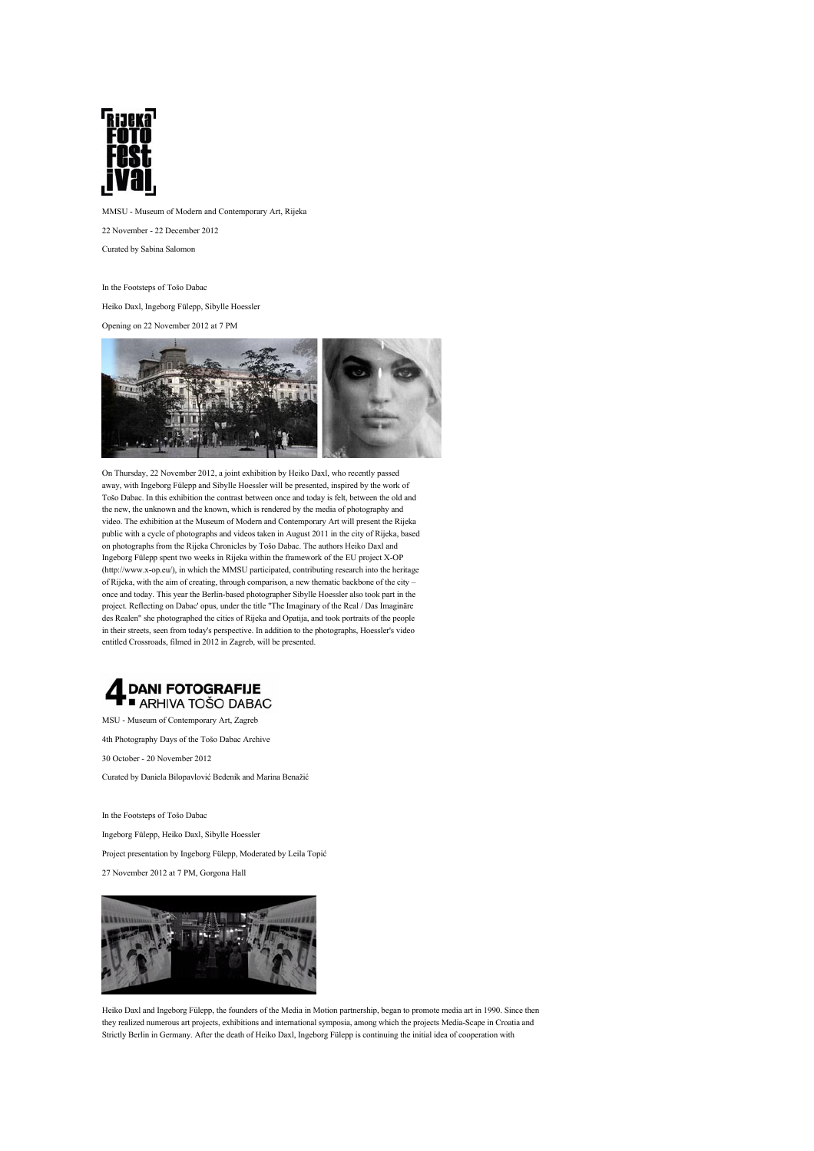

MMSU - Museum of Modern and Contemporary Art, Rijeka

22 November - 22 December 2012

Curated by Sabina Salomon

In the Footsteps of Tošo Dabac

Heiko Daxl, Ingeborg Fülepp, Sibylle Hoessler

Opening on 22 November 2012 at 7 PM



On Thursday, 22 November 2012, a joint exhibition by Heiko Daxl, who recently passed away, with Ingeborg Fülepp and Sibylle Hoessler will be presented, inspired by the work of Tošo Dabac. In this exhibition the contrast between once and today is felt, between the old and the new, the unknown and the known, which is rendered by the media of photography and video. The exhibition at the Museum of Modern and Contemporary Art will present the Rijeka public with a cycle of photographs and videos taken in August 2011 in the city of Rijeka, based on photographs from the Rijeka Chronicles by Tošo Dabac. The authors Heiko Daxl and Ingeborg Fülepp spent two weeks in Rijeka within the framework of the EU project X-OP (http://www.x-op.eu/), in which the MMSU participated, contributing research into the heritage of Rijeka, with the aim of creating, through comparison, a new thematic backbone of the city – once and today. This year the Berlin-based photographer Sibylle Hoessler also took part in the project. Reflecting on Dabac' opus, under the title "The Imaginary of the Real / Das Imaginäre des Realen" she photographed the cities of Rijeka and Opatija, and took portraits of the people in their streets, seen from today's perspective. In addition to the photographs, Hoessler's video entitled Crossroads, filmed in 2012 in Zagreb, will be presented.



MSU - Museum of Contemporary Art, Zagreb

4th Photography Days of the Tošo Dabac Archive

30 October - 20 November 2012

Curated by Daniela Bilopavlović Bedenik and Marina Benažić

In the Footsteps of Tošo Dabac Ingeborg Fülepp, Heiko Daxl, Sibylle Hoessler

Project presentation by Ingeborg Fülepp, Moderated by Leila Topić

27 November 2012 at 7 PM, Gorgona Hall



Heiko Daxl and Ingeborg Fülepp, the founders of the Media in Motion partnership, began to promote media art in 1990. Since then they realized numerous art projects, exhibitions and international symposia, among which the projects Media-Scape in Croatia and Strictly Berlin in Germany. After the death of Heiko Daxl, Ingeborg Fülepp is continuing the initial idea of cooperation with